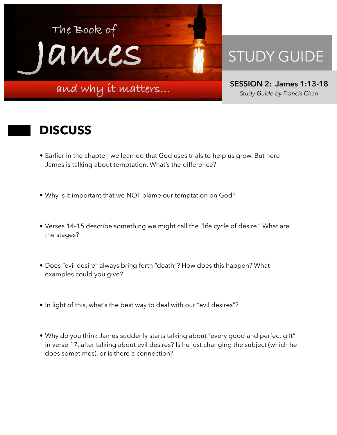

## STUDY GUIDE

**SESSION 2: James 1:13-18**  *Study Guide by Francis Chan*

## **DISCUSS**

- Earlier in the chapter, we learned that God uses trials to help us grow. But here James is talking about temptation. What's the difference?
- Why is it important that we NOT blame our temptation on God?
- Verses 14–15 describe something we might call the "life cycle of desire." What are the stages?
- Does "evil desire" always bring forth "death"? How does this happen? What examples could you give?
- In light of this, what's the best way to deal with our "evil desires"?
- Why do you think James suddenly starts talking about "every good and perfect gift" in verse 17, after talking about evil desires? Is he just changing the subject (which he does sometimes), or is there a connection?